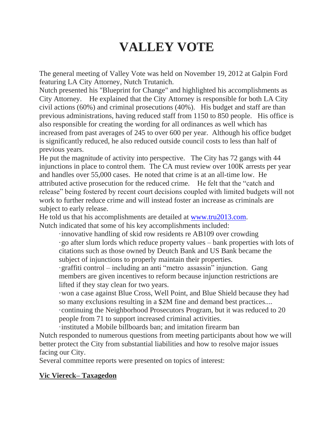# **VALLEY VOTE**

The general meeting of Valley Vote was held on November 19, 2012 at Galpin Ford featuring LA City Attorney, Nutch Trutanich.

Nutch presented his "Blueprint for Change" and highlighted his accomplishments as City Attorney. He explained that the City Attorney is responsible for both LA City civil actions (60%) and criminal prosecutions (40%). His budget and staff are than previous administrations, having reduced staff from 1150 to 850 people. His office is also responsible for creating the wording for all ordinances as well which has increased from past averages of 245 to over 600 per year. Although his office budget is significantly reduced, he also reduced outside council costs to less than half of previous years.

He put the magnitude of activity into perspective. The City has 72 gangs with 44 injunctions in place to control them. The CA must review over 100K arrests per year and handles over 55,000 cases. He noted that crime is at an all-time low. He attributed active prosecution for the reduced crime. He felt that the "catch and release" being fostered by recent court decisions coupled with limited budgets will not work to further reduce crime and will instead foster an increase as criminals are subject to early release.

He told us that his accomplishments are detailed at [www.tru2013.com.](http://www.tru2013.com/) Nutch indicated that some of his key accomplishments included:

·innovative handling of skid row residents re AB109 over crowding ·go after slum lords which reduce property values – bank properties with lots of citations such as those owned by Deutch Bank and US Bank became the subject of injunctions to properly maintain their properties.

·graffiti control – including an anti "metro assassin" injunction. Gang members are given incentives to reform because injunction restrictions are lifted if they stay clean for two years.

·won a case against Blue Cross, Well Point, and Blue Shield because they had so many exclusions resulting in a \$2M fine and demand best practices.... ·continuing the Neighborhood Prosecutors Program, but it was reduced to 20 people from 71 to support increased criminal activities.

·instituted a Mobile billboards ban; and imitation firearm ban Nutch responded to numerous questions from meeting participants about how we will better protect the City from substantial liabilities and how to resolve major issues facing our City.

Several committee reports were presented on topics of interest:

### **Vic Viereck– Taxagedon**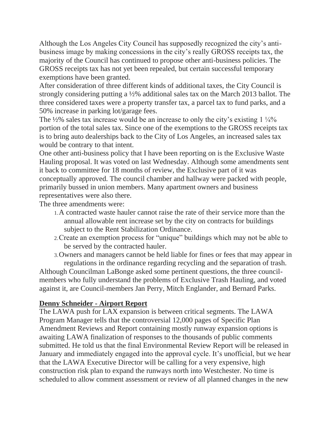Although the Los Angeles City Council has supposedly recognized the city's antibusiness image by making concessions in the city's really GROSS receipts tax, the majority of the Council has continued to propose other anti-business policies. The GROSS receipts tax has not yet been repealed, but certain successful temporary exemptions have been granted.

After consideration of three different kinds of additional taxes, the City Council is strongly considering putting a ½% additional sales tax on the March 2013 ballot. The three considered taxes were a property transfer tax, a parcel tax to fund parks, and a 50% increase in parking lot/garage fees.

The  $\frac{1}{2}\%$  sales tax increase would be an increase to only the city's existing  $1\frac{1}{4}\%$ portion of the total sales tax. Since one of the exemptions to the GROSS receipts tax is to bring auto dealerships back to the City of Los Angeles, an increased sales tax would be contrary to that intent.

One other anti-business policy that I have been reporting on is the Exclusive Waste Hauling proposal. It was voted on last Wednesday. Although some amendments sent it back to committee for 18 months of review, the Exclusive part of it was conceptually approved. The council chamber and hallway were packed with people, primarily bussed in union members. Many apartment owners and business representatives were also there.

The three amendments were:

- 1.A contracted waste hauler cannot raise the rate of their service more than the annual allowable rent increase set by the city on contracts for buildings subject to the Rent Stabilization Ordinance.
- 2.Create an exemption process for "unique" buildings which may not be able to be served by the contracted hauler.
- 3.Owners and managers cannot be held liable for fines or fees that may appear in regulations in the ordinance regarding recycling and the separation of trash.

Although Councilman LaBonge asked some pertinent questions, the three councilmembers who fully understand the problems of Exclusive Trash Hauling, and voted against it, are Council-members Jan Perry, Mitch Englander, and Bernard Parks.

### **Denny Schneider - Airport Report**

The LAWA push for LAX expansion is between critical segments. The LAWA Program Manager tells that the controversial 12,000 pages of Specific Plan Amendment Reviews and Report containing mostly runway expansion options is awaiting LAWA finalization of responses to the thousands of public comments submitted. He told us that the final Environmental Review Report will be released in January and immediately engaged into the approval cycle. It's unofficial, but we hear that the LAWA Executive Director will be calling for a very expensive, high construction risk plan to expand the runways north into Westchester. No time is scheduled to allow comment assessment or review of all planned changes in the new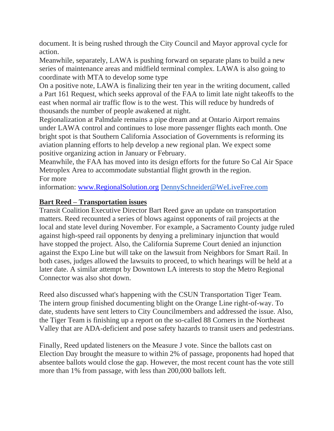document. It is being rushed through the City Council and Mayor approval cycle for action.

Meanwhile, separately, LAWA is pushing forward on separate plans to build a new series of maintenance areas and midfield terminal complex. LAWA is also going to coordinate with MTA to develop some type

On a positive note, LAWA is finalizing their ten year in the writing document, called a Part 161 Request, which seeks approval of the FAA to limit late night takeoffs to the east when normal air traffic flow is to the west. This will reduce by hundreds of thousands the number of people awakened at night.

Regionalization at Palmdale remains a pipe dream and at Ontario Airport remains under LAWA control and continues to lose more passenger flights each month. One bright spot is that Southern California Association of Governments is reforming its aviation planning efforts to help develop a new regional plan. We expect some positive organizing action in January or February.

Meanwhile, the FAA has moved into its design efforts for the future So Cal Air Space Metroplex Area to accommodate substantial flight growth in the region. For more

information: [www.RegionalSolution.org](http://www.regionalsolution.org/) [DennySchneider@WeLiveFree.com](mailto:DennySchneider@WeLiveFree.com)

## **Bart Reed – Transportation issues**

Transit Coalition Executive Director Bart Reed gave an update on transportation matters. Reed recounted a series of blows against opponents of rail projects at the local and state level during November. For example, a Sacramento County judge ruled against high-speed rail opponents by denying a preliminary injunction that would have stopped the project. Also, the California Supreme Court denied an injunction against the Expo Line but will take on the lawsuit from Neighbors for Smart Rail. In both cases, judges allowed the lawsuits to proceed, to which hearings will be held at a later date. A similar attempt by Downtown LA interests to stop the Metro Regional Connector was also shot down.

Reed also discussed what's happening with the CSUN Transportation Tiger Team. The intern group finished documenting blight on the Orange Line right-of-way. To date, students have sent letters to City Councilmembers and addressed the issue. Also, the Tiger Team is finishing up a report on the so-called 88 Corners in the Northeast Valley that are ADA-deficient and pose safety hazards to transit users and pedestrians.

Finally, Reed updated listeners on the Measure J vote. Since the ballots cast on Election Day brought the measure to within 2% of passage, proponents had hoped that absentee ballots would close the gap. However, the most recent count has the vote still more than 1% from passage, with less than 200,000 ballots left.